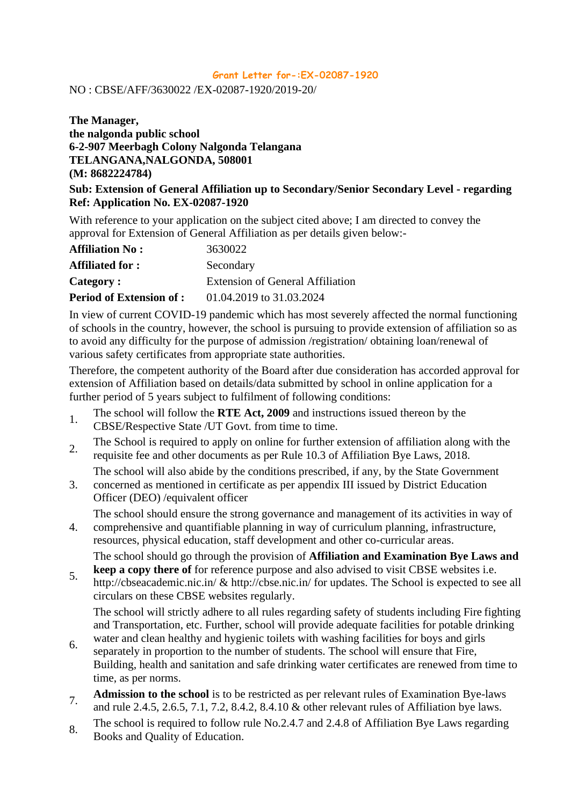## **Grant Letter for-:EX-02087-1920**

NO : CBSE/AFF/3630022 /EX-02087-1920/2019-20/

## **The Manager, the nalgonda public school 6-2-907 Meerbagh Colony Nalgonda Telangana TELANGANA,NALGONDA, 508001 (M: 8682224784)**

## **Sub: Extension of General Affiliation up to Secondary/Senior Secondary Level - regarding Ref: Application No. EX-02087-1920**

With reference to your application on the subject cited above; I am directed to convey the approval for Extension of General Affiliation as per details given below:-

| <b>Affiliation No:</b>          | 3630022                                 |
|---------------------------------|-----------------------------------------|
| <b>Affiliated for:</b>          | Secondary                               |
| Category:                       | <b>Extension of General Affiliation</b> |
| <b>Period of Extension of :</b> | 01.04.2019 to 31.03.2024                |

In view of current COVID-19 pandemic which has most severely affected the normal functioning of schools in the country, however, the school is pursuing to provide extension of affiliation so as to avoid any difficulty for the purpose of admission /registration/ obtaining loan/renewal of various safety certificates from appropriate state authorities.

Therefore, the competent authority of the Board after due consideration has accorded approval for extension of Affiliation based on details/data submitted by school in online application for a further period of 5 years subject to fulfilment of following conditions:

- 1. The school will follow the **RTE Act, 2009** and instructions issued thereon by the CBSE/Respective State /UT Govt. from time to time.
- 2. The School is required to apply on online for further extension of affiliation along with the requisite fee and other documents as per Rule 10.3 of Affiliation Bye Laws, 2018.
- 3. The school will also abide by the conditions prescribed, if any, by the State Government concerned as mentioned in certificate as per appendix III issued by District Education
- Officer (DEO) /equivalent officer

The school should ensure the strong governance and management of its activities in way of

4. comprehensive and quantifiable planning in way of curriculum planning, infrastructure, resources, physical education, staff development and other co-curricular areas. The school should go through the provision of **Affiliation and Examination Bye Laws and** 

5. **keep a copy there of** for reference purpose and also advised to visit CBSE websites i.e. <http://cbseacademic.nic.in/> &<http://cbse.nic.in/> for updates. The School is expected to see all circulars on these CBSE websites regularly.

The school will strictly adhere to all rules regarding safety of students including Fire fighting and Transportation, etc. Further, school will provide adequate facilities for potable drinking water and clean healthy and hygienic toilets with washing facilities for boys and girls

- 6. separately in proportion to the number of students. The school will ensure that Fire, Building, health and sanitation and safe drinking water certificates are renewed from time to time, as per norms.
- **Admission to the school** is to be restricted as per relevant rules of Examination Bye-laws and rule 2.4.5, 2.6.5, 7.1, 7.2, 8.4.2, 8.4.10 & other relevant rules of Affiliation bye laws.
- 8. The school is required to follow rule No.2.4.7 and 2.4.8 of Affiliation Bye Laws regarding Books and Quality of Education.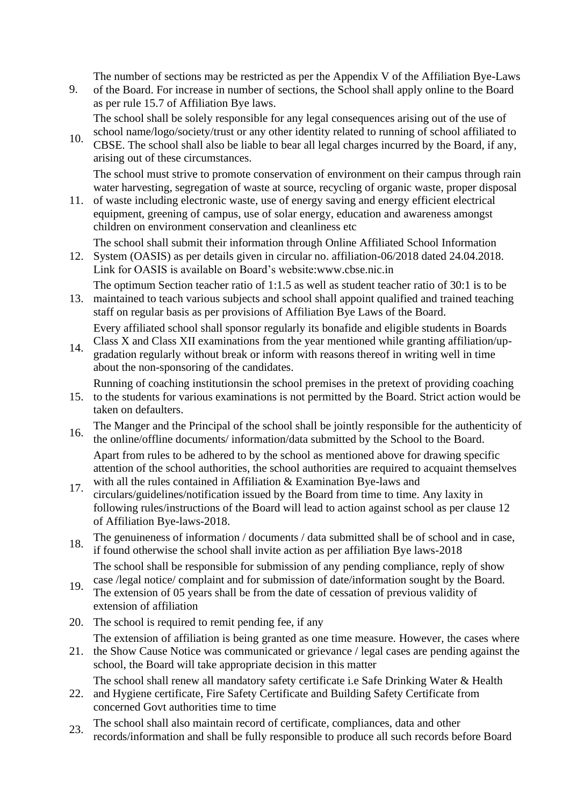The number of sections may be restricted as per the Appendix V of the Affiliation Bye-Laws

9. of the Board. For increase in number of sections, the School shall apply online to the Board as per rule 15.7 of Affiliation Bye laws.

The school shall be solely responsible for any legal consequences arising out of the use of school name/logo/society/trust or any other identity related to running of school affiliated to

10. CBSE. The school shall also be liable to bear all legal charges incurred by the Board, if any, arising out of these circumstances.

The school must strive to promote conservation of environment on their campus through rain water harvesting, segregation of waste at source, recycling of organic waste, proper disposal

11. of waste including electronic waste, use of energy saving and energy efficient electrical equipment, greening of campus, use of solar energy, education and awareness amongst children on environment conservation and cleanliness etc

The school shall submit their information through Online Affiliated School Information

12. System (OASIS) as per details given in circular no. affiliation-06/2018 dated 24.04.2018. Link for OASIS is available on Board's websit[e:www.cbse.nic.in](http://www.cbse.nic.in/)

The optimum Section teacher ratio of 1:1.5 as well as student teacher ratio of 30:1 is to be

13. maintained to teach various subjects and school shall appoint qualified and trained teaching staff on regular basis as per provisions of Affiliation Bye Laws of the Board.

Every affiliated school shall sponsor regularly its bonafide and eligible students in Boards

14. Class X and Class XII examinations from the year mentioned while granting affiliation/upgradation regularly without break or inform with reasons thereof in writing well in time about the non-sponsoring of the candidates.

Running of coaching institutionsin the school premises in the pretext of providing coaching

- 15. to the students for various examinations is not permitted by the Board. Strict action would be taken on defaulters.
- 16. The Manger and the Principal of the school shall be jointly responsible for the authenticity of the online/offline documents/ information/data submitted by the School to the Board. Apart from rules to be adhered to by the school as mentioned above for drawing specific

attention of the school authorities, the school authorities are required to acquaint themselves with all the rules contained in Affiliation & Examination Bye-laws and

- 17. circulars/guidelines/notification issued by the Board from time to time. Any laxity in following rules/instructions of the Board will lead to action against school as per clause 12 of Affiliation Bye-laws-2018.
- 18. The genuineness of information / documents / data submitted shall be of school and in case, if found otherwise the school shall invite action as per affiliation Bye laws-2018

The school shall be responsible for submission of any pending compliance, reply of show case /legal notice/ complaint and for submission of date/information sought by the Board.

- 19. The extension of 05 years shall be from the date of cessation of previous validity of extension of affiliation
- 20. The school is required to remit pending fee, if any

The extension of affiliation is being granted as one time measure. However, the cases where

21. the Show Cause Notice was communicated or grievance / legal cases are pending against the school, the Board will take appropriate decision in this matter

The school shall renew all mandatory safety certificate i.e Safe Drinking Water & Health

- 22. and Hygiene certificate, Fire Safety Certificate and Building Safety Certificate from concerned Govt authorities time to time
- 23. The school shall also maintain record of certificate, compliances, data and other records/information and shall be fully responsible to produce all such records before Board